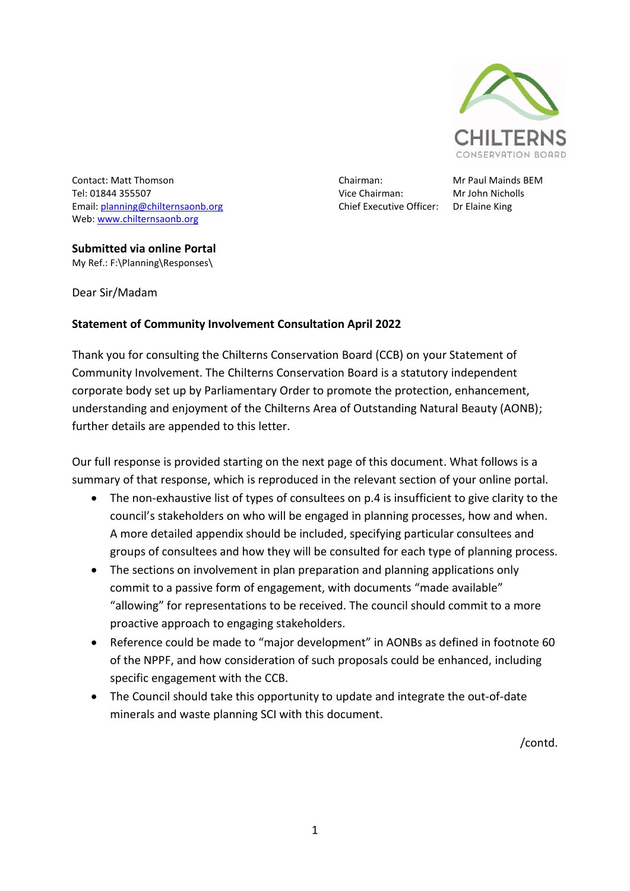

Contact: Matt Thomson Chairman: Mr Paul Mainds BEM Tel: 01844 355507 Vice Chairman: Mr John Nicholls Email: **planning@chilternsaonb.org** Chief Executive Officer: Dr Elaine King Web: [www.chilternsaonb.org](http://www.chilternsaonb.org/)

#### **Submitted via online Portal** My Ref.: F:\Planning\Responses\

Dear Sir/Madam

## **Statement of Community Involvement Consultation April 2022**

Thank you for consulting the Chilterns Conservation Board (CCB) on your Statement of Community Involvement. The Chilterns Conservation Board is a statutory independent corporate body set up by Parliamentary Order to promote the protection, enhancement, understanding and enjoyment of the Chilterns Area of Outstanding Natural Beauty (AONB); further details are appended to this letter.

Our full response is provided starting on the next page of this document. What follows is a summary of that response, which is reproduced in the relevant section of your online portal.

- The non-exhaustive list of types of consultees on p.4 is insufficient to give clarity to the council's stakeholders on who will be engaged in planning processes, how and when. A more detailed appendix should be included, specifying particular consultees and groups of consultees and how they will be consulted for each type of planning process.
- The sections on involvement in plan preparation and planning applications only commit to a passive form of engagement, with documents "made available" "allowing" for representations to be received. The council should commit to a more proactive approach to engaging stakeholders.
- Reference could be made to "major development" in AONBs as defined in footnote 60 of the NPPF, and how consideration of such proposals could be enhanced, including specific engagement with the CCB.
- The Council should take this opportunity to update and integrate the out-of-date minerals and waste planning SCI with this document.

/contd.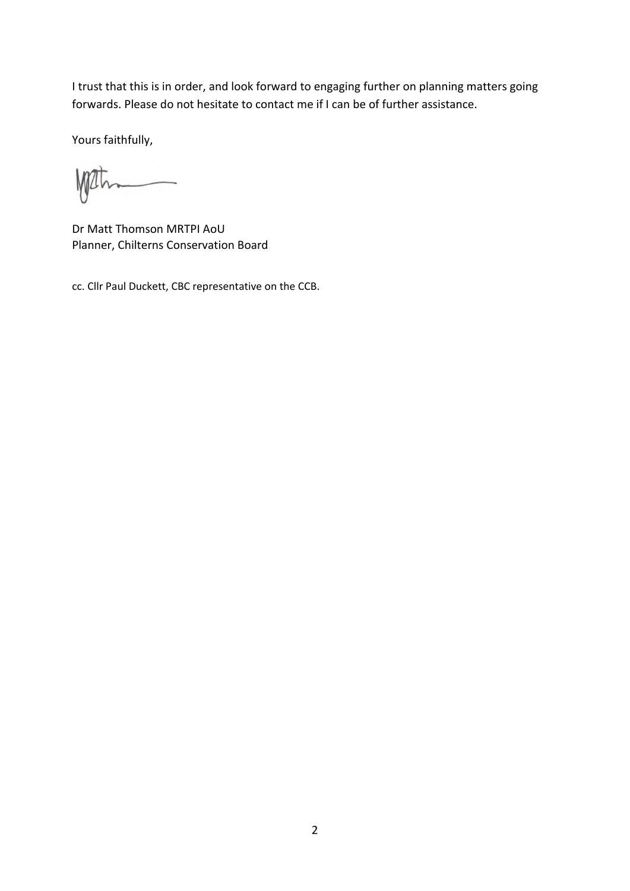I trust that this is in order, and look forward to engaging further on planning matters going forwards. Please do not hesitate to contact me if I can be of further assistance.

Yours faithfully,

Wath 

Dr Matt Thomson MRTPI AoU Planner, Chilterns Conservation Board

cc. Cllr Paul Duckett, CBC representative on the CCB.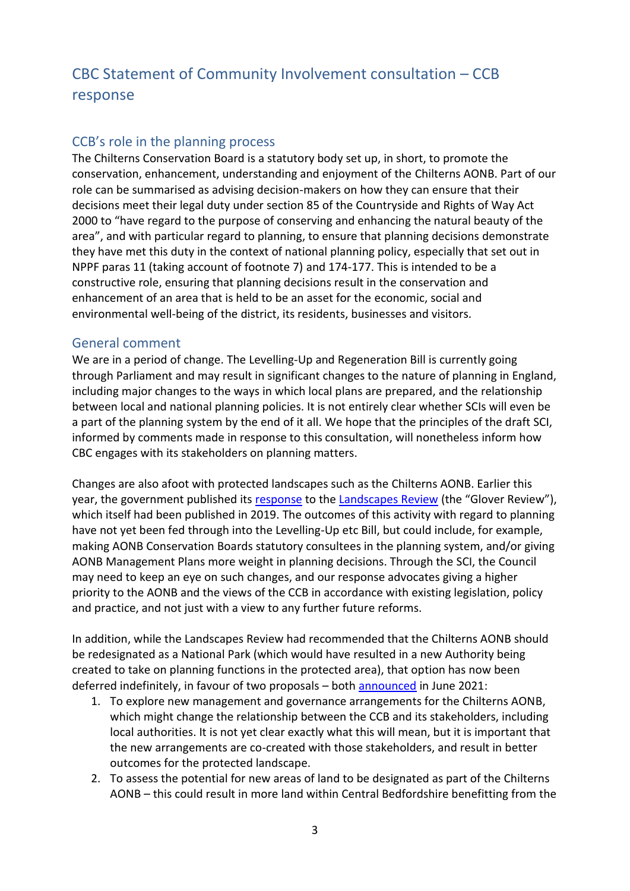# CBC Statement of Community Involvement consultation – CCB response

## CCB's role in the planning process

The Chilterns Conservation Board is a statutory body set up, in short, to promote the conservation, enhancement, understanding and enjoyment of the Chilterns AONB. Part of our role can be summarised as advising decision-makers on how they can ensure that their decisions meet their legal duty under section 85 of the Countryside and Rights of Way Act 2000 to "have regard to the purpose of conserving and enhancing the natural beauty of the area", and with particular regard to planning, to ensure that planning decisions demonstrate they have met this duty in the context of national planning policy, especially that set out in NPPF paras 11 (taking account of footnote 7) and 174-177. This is intended to be a constructive role, ensuring that planning decisions result in the conservation and enhancement of an area that is held to be an asset for the economic, social and environmental well-being of the district, its residents, businesses and visitors.

### General comment

We are in a period of change. The Levelling-Up and Regeneration Bill is currently going through Parliament and may result in significant changes to the nature of planning in England, including major changes to the ways in which local plans are prepared, and the relationship between local and national planning policies. It is not entirely clear whether SCIs will even be a part of the planning system by the end of it all. We hope that the principles of the draft SCI, informed by comments made in response to this consultation, will nonetheless inform how CBC engages with its stakeholders on planning matters.

Changes are also afoot with protected landscapes such as the Chilterns AONB. Earlier this year, the government published its [response](https://www.gov.uk/government/news/ambitious-proposals-to-strengthen-our-protected-landscapes-announced) to the [Landscapes Review](https://www.gov.uk/government/publications/designated-landscapes-national-parks-and-aonbs-2018-review) (the "Glover Review"), which itself had been published in 2019. The outcomes of this activity with regard to planning have not yet been fed through into the Levelling-Up etc Bill, but could include, for example, making AONB Conservation Boards statutory consultees in the planning system, and/or giving AONB Management Plans more weight in planning decisions. Through the SCI, the Council may need to keep an eye on such changes, and our response advocates giving a higher priority to the AONB and the views of the CCB in accordance with existing legislation, policy and practice, and not just with a view to any further future reforms.

In addition, while the Landscapes Review had recommended that the Chilterns AONB should be redesignated as a National Park (which would have resulted in a new Authority being created to take on planning functions in the protected area), that option has now been deferred indefinitely, in favour of two proposals – both [announced](https://www.chilternsaonb.org/chilterns-aonb-boundary-review.html) in June 2021:

- 1. To explore new management and governance arrangements for the Chilterns AONB, which might change the relationship between the CCB and its stakeholders, including local authorities. It is not yet clear exactly what this will mean, but it is important that the new arrangements are co-created with those stakeholders, and result in better outcomes for the protected landscape.
- 2. To assess the potential for new areas of land to be designated as part of the Chilterns AONB – this could result in more land within Central Bedfordshire benefitting from the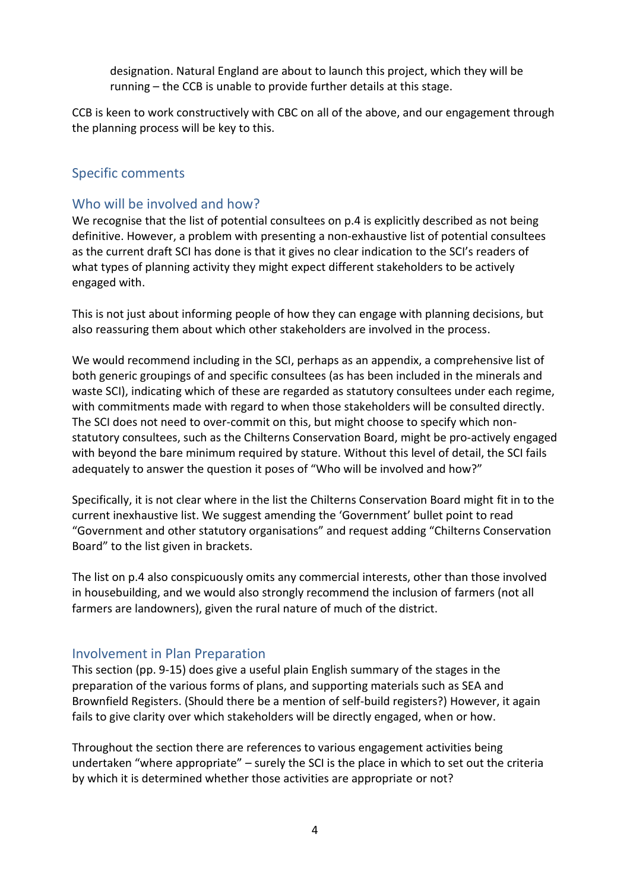designation. Natural England are about to launch this project, which they will be running – the CCB is unable to provide further details at this stage.

CCB is keen to work constructively with CBC on all of the above, and our engagement through the planning process will be key to this.

## Specific comments

## Who will be involved and how?

We recognise that the list of potential consultees on p.4 is explicitly described as not being definitive. However, a problem with presenting a non-exhaustive list of potential consultees as the current draft SCI has done is that it gives no clear indication to the SCI's readers of what types of planning activity they might expect different stakeholders to be actively engaged with.

This is not just about informing people of how they can engage with planning decisions, but also reassuring them about which other stakeholders are involved in the process.

We would recommend including in the SCI, perhaps as an appendix, a comprehensive list of both generic groupings of and specific consultees (as has been included in the minerals and waste SCI), indicating which of these are regarded as statutory consultees under each regime, with commitments made with regard to when those stakeholders will be consulted directly. The SCI does not need to over-commit on this, but might choose to specify which nonstatutory consultees, such as the Chilterns Conservation Board, might be pro-actively engaged with beyond the bare minimum required by stature. Without this level of detail, the SCI fails adequately to answer the question it poses of "Who will be involved and how?"

Specifically, it is not clear where in the list the Chilterns Conservation Board might fit in to the current inexhaustive list. We suggest amending the 'Government' bullet point to read "Government and other statutory organisations" and request adding "Chilterns Conservation Board" to the list given in brackets.

The list on p.4 also conspicuously omits any commercial interests, other than those involved in housebuilding, and we would also strongly recommend the inclusion of farmers (not all farmers are landowners), given the rural nature of much of the district.

#### Involvement in Plan Preparation

This section (pp. 9-15) does give a useful plain English summary of the stages in the preparation of the various forms of plans, and supporting materials such as SEA and Brownfield Registers. (Should there be a mention of self-build registers?) However, it again fails to give clarity over which stakeholders will be directly engaged, when or how.

Throughout the section there are references to various engagement activities being undertaken "where appropriate" – surely the SCI is the place in which to set out the criteria by which it is determined whether those activities are appropriate or not?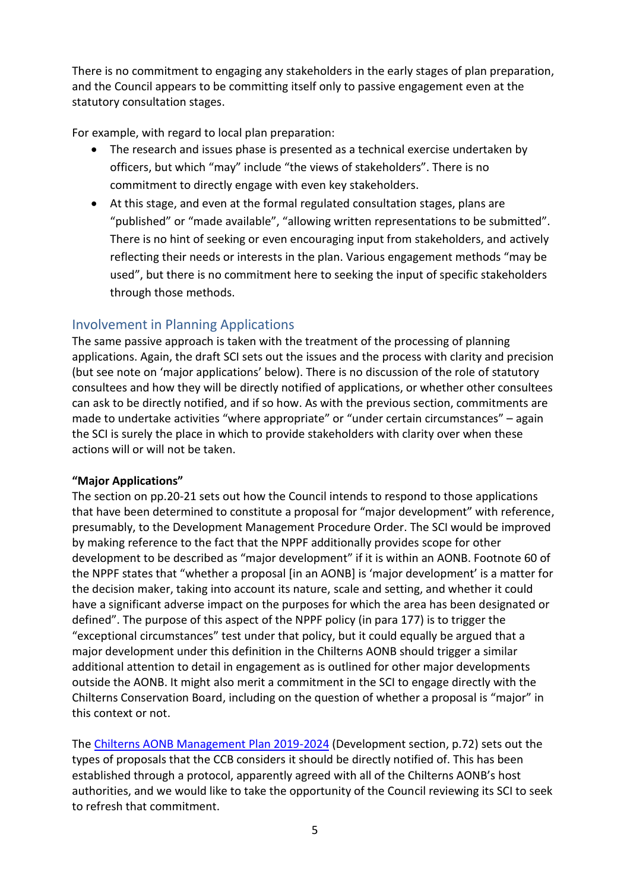There is no commitment to engaging any stakeholders in the early stages of plan preparation, and the Council appears to be committing itself only to passive engagement even at the statutory consultation stages.

For example, with regard to local plan preparation:

- The research and issues phase is presented as a technical exercise undertaken by officers, but which "may" include "the views of stakeholders". There is no commitment to directly engage with even key stakeholders.
- At this stage, and even at the formal regulated consultation stages, plans are "published" or "made available", "allowing written representations to be submitted". There is no hint of seeking or even encouraging input from stakeholders, and actively reflecting their needs or interests in the plan. Various engagement methods "may be used", but there is no commitment here to seeking the input of specific stakeholders through those methods.

# Involvement in Planning Applications

The same passive approach is taken with the treatment of the processing of planning applications. Again, the draft SCI sets out the issues and the process with clarity and precision (but see note on 'major applications' below). There is no discussion of the role of statutory consultees and how they will be directly notified of applications, or whether other consultees can ask to be directly notified, and if so how. As with the previous section, commitments are made to undertake activities "where appropriate" or "under certain circumstances" – again the SCI is surely the place in which to provide stakeholders with clarity over when these actions will or will not be taken.

#### **"Major Applications"**

The section on pp.20-21 sets out how the Council intends to respond to those applications that have been determined to constitute a proposal for "major development" with reference, presumably, to the Development Management Procedure Order. The SCI would be improved by making reference to the fact that the NPPF additionally provides scope for other development to be described as "major development" if it is within an AONB. Footnote 60 of the NPPF states that "whether a proposal [in an AONB] is 'major development' is a matter for the decision maker, taking into account its nature, scale and setting, and whether it could have a significant adverse impact on the purposes for which the area has been designated or defined". The purpose of this aspect of the NPPF policy (in para 177) is to trigger the "exceptional circumstances" test under that policy, but it could equally be argued that a major development under this definition in the Chilterns AONB should trigger a similar additional attention to detail in engagement as is outlined for other major developments outside the AONB. It might also merit a commitment in the SCI to engage directly with the Chilterns Conservation Board, including on the question of whether a proposal is "major" in this context or not.

The [Chilterns AONB Management Plan 2019-2024](https://www.chilternsaonb.org/conservation-board/management-plan.html) (Development section, p.72) sets out the types of proposals that the CCB considers it should be directly notified of. This has been established through a protocol, apparently agreed with all of the Chilterns AONB's host authorities, and we would like to take the opportunity of the Council reviewing its SCI to seek to refresh that commitment.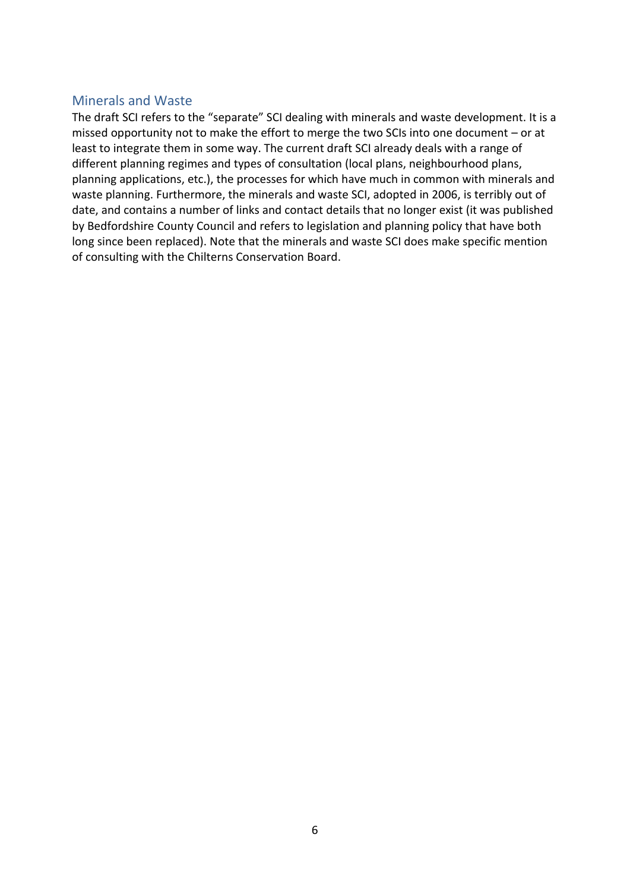### Minerals and Waste

The draft SCI refers to the "separate" SCI dealing with minerals and waste development. It is a missed opportunity not to make the effort to merge the two SCIs into one document – or at least to integrate them in some way. The current draft SCI already deals with a range of different planning regimes and types of consultation (local plans, neighbourhood plans, planning applications, etc.), the processes for which have much in common with minerals and waste planning. Furthermore, the minerals and waste SCI, adopted in 2006, is terribly out of date, and contains a number of links and contact details that no longer exist (it was published by Bedfordshire County Council and refers to legislation and planning policy that have both long since been replaced). Note that the minerals and waste SCI does make specific mention of consulting with the Chilterns Conservation Board.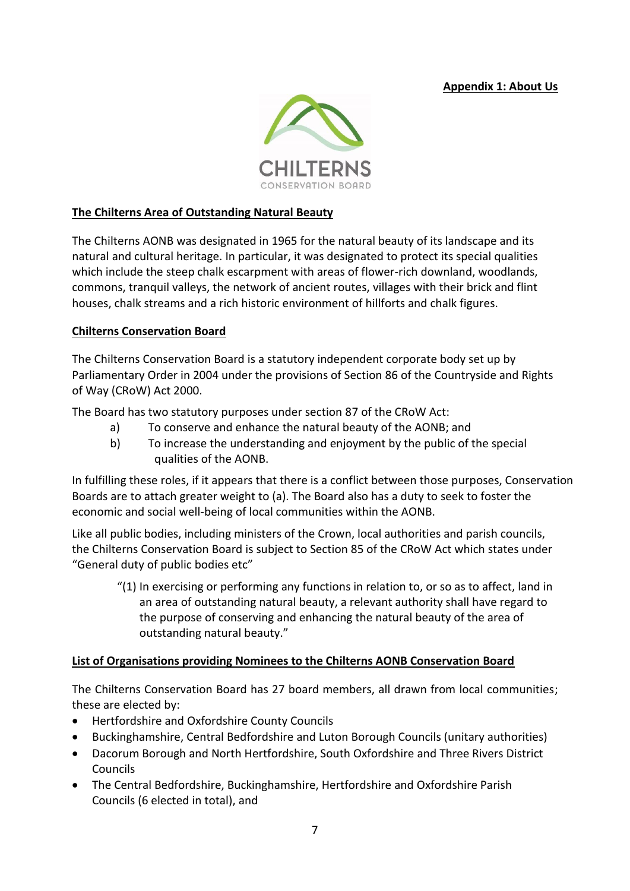**Appendix 1: About Us**



#### **The Chilterns Area of Outstanding Natural Beauty**

The Chilterns AONB was designated in 1965 for the natural beauty of its landscape and its natural and cultural heritage. In particular, it was designated to protect its special qualities which include the steep chalk escarpment with areas of flower-rich downland, woodlands, commons, tranquil valleys, the network of ancient routes, villages with their brick and flint houses, chalk streams and a rich historic environment of hillforts and chalk figures.

#### **Chilterns Conservation Board**

The Chilterns Conservation Board is a statutory independent corporate body set up by Parliamentary Order in 2004 under the provisions of Section 86 of the Countryside and Rights of Way (CRoW) Act 2000.

The Board has two statutory purposes under section 87 of the CRoW Act:

- a) To conserve and enhance the natural beauty of the AONB; and
- b) To increase the understanding and enjoyment by the public of the special qualities of the AONB.

In fulfilling these roles, if it appears that there is a conflict between those purposes, Conservation Boards are to attach greater weight to (a). The Board also has a duty to seek to foster the economic and social well-being of local communities within the AONB.

Like all public bodies, including ministers of the Crown, local authorities and parish councils, the Chilterns Conservation Board is subject to Section 85 of the CRoW Act which states under "General duty of public bodies etc"

"(1) In exercising or performing any functions in relation to, or so as to affect, land in an area of outstanding natural beauty, a relevant authority shall have regard to the purpose of conserving and enhancing the natural beauty of the area of outstanding natural beauty."

#### **List of Organisations providing Nominees to the Chilterns AONB Conservation Board**

The Chilterns Conservation Board has 27 board members, all drawn from local communities; these are elected by:

- Hertfordshire and Oxfordshire County Councils
- Buckinghamshire, Central Bedfordshire and Luton Borough Councils (unitary authorities)
- Dacorum Borough and North Hertfordshire, South Oxfordshire and Three Rivers District Councils
- The Central Bedfordshire, Buckinghamshire, Hertfordshire and Oxfordshire Parish Councils (6 elected in total), and